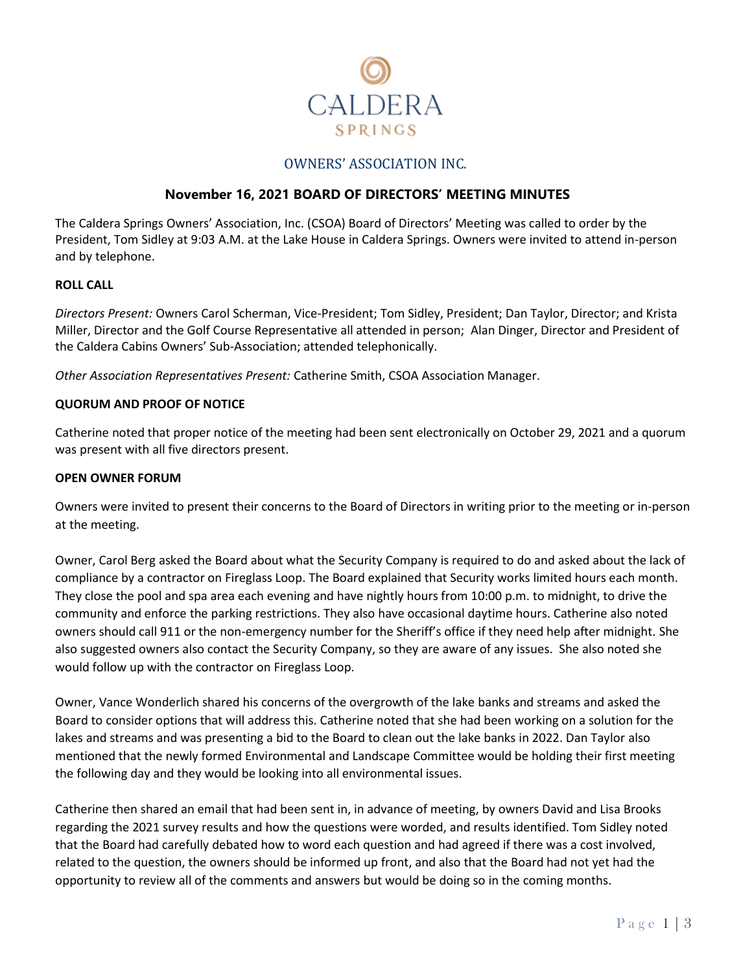

# OWNERS' ASSOCIATION INC.

### **November 16, 2021 BOARD OF DIRECTORS' MEETING MINUTES**

The Caldera Springs Owners' Association, Inc. (CSOA) Board of Directors' Meeting was called to order by the President, Tom Sidley at 9:03 A.M. at the Lake House in Caldera Springs. Owners were invited to attend in-person and by telephone.

#### **ROLL CALL**

*Directors Present:* Owners Carol Scherman, Vice-President; Tom Sidley, President; Dan Taylor, Director; and Krista Miller, Director and the Golf Course Representative all attended in person; Alan Dinger, Director and President of the Caldera Cabins Owners' Sub-Association; attended telephonically.

*Other Association Representatives Present:* Catherine Smith, CSOA Association Manager.

#### **QUORUM AND PROOF OF NOTICE**

Catherine noted that proper notice of the meeting had been sent electronically on October 29, 2021 and a quorum was present with all five directors present.

#### **OPEN OWNER FORUM**

Owners were invited to present their concerns to the Board of Directors in writing prior to the meeting or in-person at the meeting.

Owner, Carol Berg asked the Board about what the Security Company is required to do and asked about the lack of compliance by a contractor on Fireglass Loop. The Board explained that Security works limited hours each month. They close the pool and spa area each evening and have nightly hours from 10:00 p.m. to midnight, to drive the community and enforce the parking restrictions. They also have occasional daytime hours. Catherine also noted owners should call 911 or the non-emergency number for the Sheriff's office if they need help after midnight. She also suggested owners also contact the Security Company, so they are aware of any issues. She also noted she would follow up with the contractor on Fireglass Loop.

Owner, Vance Wonderlich shared his concerns of the overgrowth of the lake banks and streams and asked the Board to consider options that will address this. Catherine noted that she had been working on a solution for the lakes and streams and was presenting a bid to the Board to clean out the lake banks in 2022. Dan Taylor also mentioned that the newly formed Environmental and Landscape Committee would be holding their first meeting the following day and they would be looking into all environmental issues.

Catherine then shared an email that had been sent in, in advance of meeting, by owners David and Lisa Brooks regarding the 2021 survey results and how the questions were worded, and results identified. Tom Sidley noted that the Board had carefully debated how to word each question and had agreed if there was a cost involved, related to the question, the owners should be informed up front, and also that the Board had not yet had the opportunity to review all of the comments and answers but would be doing so in the coming months.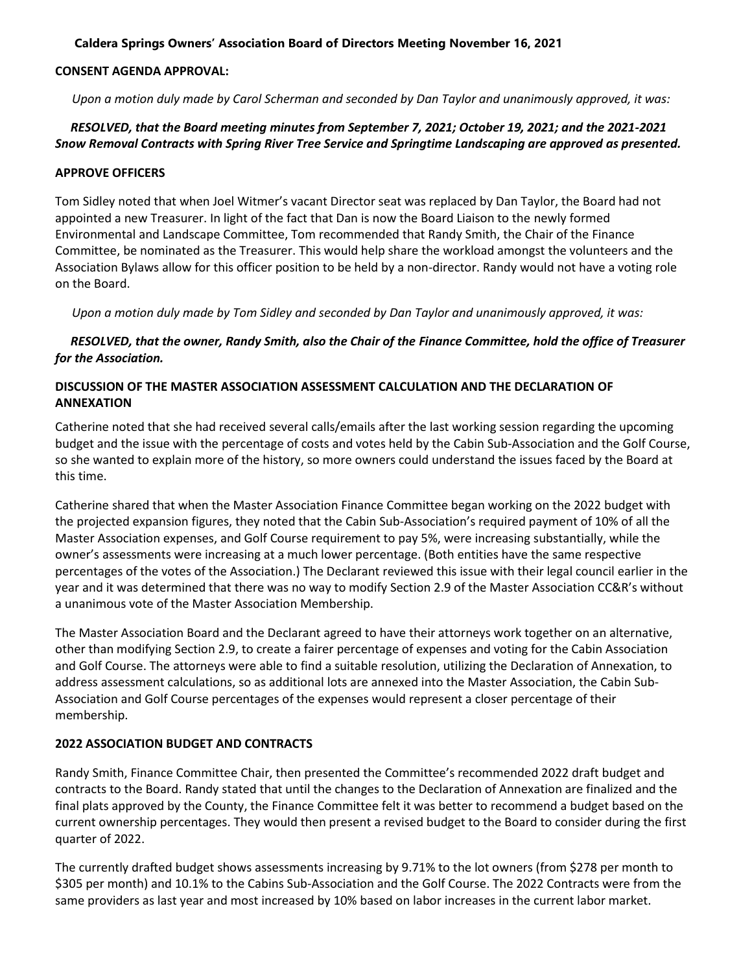### **Caldera Springs Owners' Association Board of Directors Meeting November 16, 2021**

#### **CONSENT AGENDA APPROVAL:**

*Upon a motion duly made by Carol Scherman and seconded by Dan Taylor and unanimously approved, it was:*

# *RESOLVED, that the Board meeting minutes from September 7, 2021; October 19, 2021; and the 2021-2021 Snow Removal Contracts with Spring River Tree Service and Springtime Landscaping are approved as presented.*

#### **APPROVE OFFICERS**

Tom Sidley noted that when Joel Witmer's vacant Director seat was replaced by Dan Taylor, the Board had not appointed a new Treasurer. In light of the fact that Dan is now the Board Liaison to the newly formed Environmental and Landscape Committee, Tom recommended that Randy Smith, the Chair of the Finance Committee, be nominated as the Treasurer. This would help share the workload amongst the volunteers and the Association Bylaws allow for this officer position to be held by a non-director. Randy would not have a voting role on the Board.

*Upon a motion duly made by Tom Sidley and seconded by Dan Taylor and unanimously approved, it was:*

# *RESOLVED, that the owner, Randy Smith, also the Chair of the Finance Committee, hold the office of Treasurer for the Association.*

# **DISCUSSION OF THE MASTER ASSOCIATION ASSESSMENT CALCULATION AND THE DECLARATION OF ANNEXATION**

Catherine noted that she had received several calls/emails after the last working session regarding the upcoming budget and the issue with the percentage of costs and votes held by the Cabin Sub-Association and the Golf Course, so she wanted to explain more of the history, so more owners could understand the issues faced by the Board at this time.

Catherine shared that when the Master Association Finance Committee began working on the 2022 budget with the projected expansion figures, they noted that the Cabin Sub-Association's required payment of 10% of all the Master Association expenses, and Golf Course requirement to pay 5%, were increasing substantially, while the owner's assessments were increasing at a much lower percentage. (Both entities have the same respective percentages of the votes of the Association.) The Declarant reviewed this issue with their legal council earlier in the year and it was determined that there was no way to modify Section 2.9 of the Master Association CC&R's without a unanimous vote of the Master Association Membership.

The Master Association Board and the Declarant agreed to have their attorneys work together on an alternative, other than modifying Section 2.9, to create a fairer percentage of expenses and voting for the Cabin Association and Golf Course. The attorneys were able to find a suitable resolution, utilizing the Declaration of Annexation, to address assessment calculations, so as additional lots are annexed into the Master Association, the Cabin Sub-Association and Golf Course percentages of the expenses would represent a closer percentage of their membership.

### **2022 ASSOCIATION BUDGET AND CONTRACTS**

Randy Smith, Finance Committee Chair, then presented the Committee's recommended 2022 draft budget and contracts to the Board. Randy stated that until the changes to the Declaration of Annexation are finalized and the final plats approved by the County, the Finance Committee felt it was better to recommend a budget based on the current ownership percentages. They would then present a revised budget to the Board to consider during the first quarter of 2022.

The currently drafted budget shows assessments increasing by 9.71% to the lot owners (from \$278 per month to \$305 per month) and 10.1% to the Cabins Sub-Association and the Golf Course. The 2022 Contracts were from the same providers as last year and most increased by 10% based on labor increases in the current labor market.